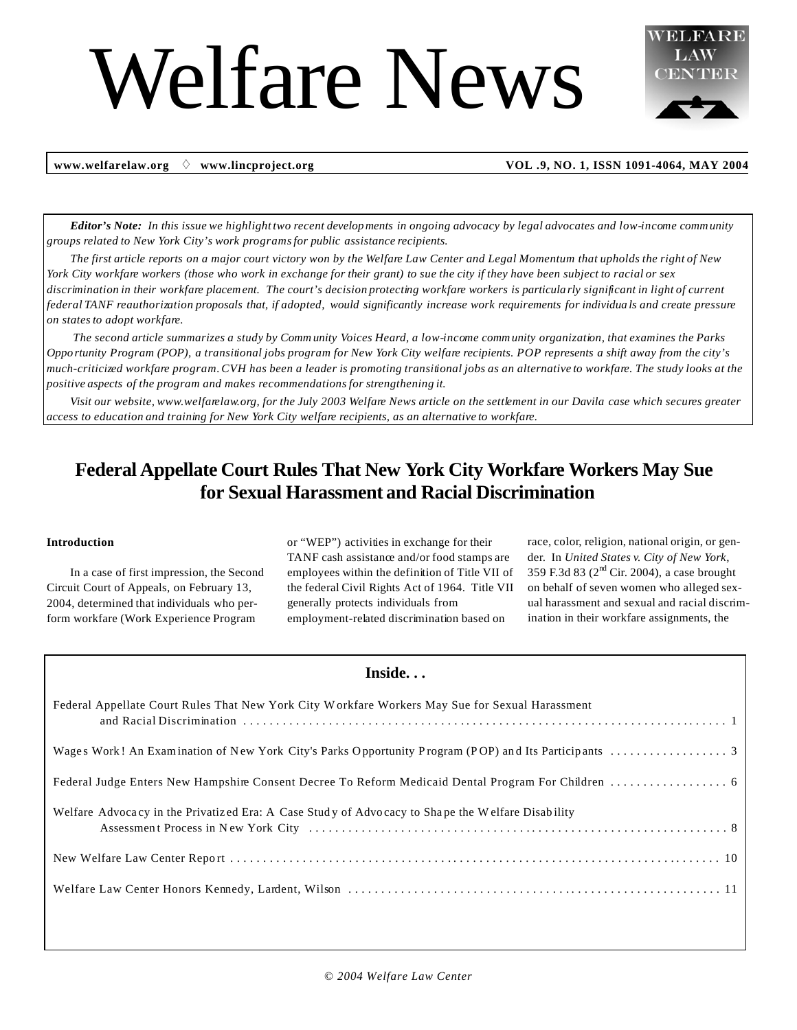# Welfare News



 **www.welfarelaw.org** " **www.lincproject.org VOL .9, NO. 1, ISSN 1091-4064, MAY 2004**

**Editor's Note:** In this issue we highlight two recent developments in ongoing advocacy by legal advocates and low-income community *groups related to New York City's work programsfor public assistance recipients.* 

The first article reports on a major court victory won by the Welfare Law Center and Legal Momentum that upholds the right of New York City workfare workers (those who work in exchange for their grant) to sue the city if they have been subject to racial or sex discrimination in their workfare placement. The court's decision protecting workfare workers is particularly significant in light of current federal TANF reauthorization proposals that, if adopted, would significantly increase work requirements for individuals and create pressure *on states to adopt workfare.*

The second article summarizes a study by Community Voices Heard, a low-income community organization, that examines the Parks Opportunity Program (POP), a transitional jobs program for New York City welfare recipients. POP represents a shift away from the city's much-criticized workfare program. CVH has been a leader is promoting transitional jobs as an alternative to workfare. The study looks at the *positive aspects of the program and makes recommendations for strengthening it.*

Visit our website, www.welfarelaw.org, for the July 2003 Welfare News article on the settlement in our Davila case which secures greater *access to education and training for New York City welfare recipients, as an alternative to workfare.*

## **Federal Appellate Court Rules That New York City Workfare Workers May Sue for Sexual Harassment and Racial Discrimination**

#### **Introduction**

In a case of first impression, the Second Circuit Court of Appeals, on February 13, 2004, determined that individuals who perform workfare (Work Experience Program

or "WEP") activities in exchange for their TANF cash assistance and/or food stamps are employees within the definition of Title VII of the federal Civil Rights Act of 1964. Title VII generally protects individuals from employment-related discrimination based on

race, color, religion, national origin, or gender. In *United States v. City of New York*, 359 F.3d 83 ( $2<sup>nd</sup>$  Cir. 2004), a case brought on behalf of seven women who alleged sexual harassment and sexual and racial discrimination in their workfare assignments, the

## **Inside. . .**

| Federal Appellate Court Rules That New York City Workfare Workers May Sue for Sexual Harassment  |
|--------------------------------------------------------------------------------------------------|
|                                                                                                  |
|                                                                                                  |
| Welfare Advocacy in the Privatized Era: A Case Study of Advocacy to Shape the Welfare Disability |
|                                                                                                  |
|                                                                                                  |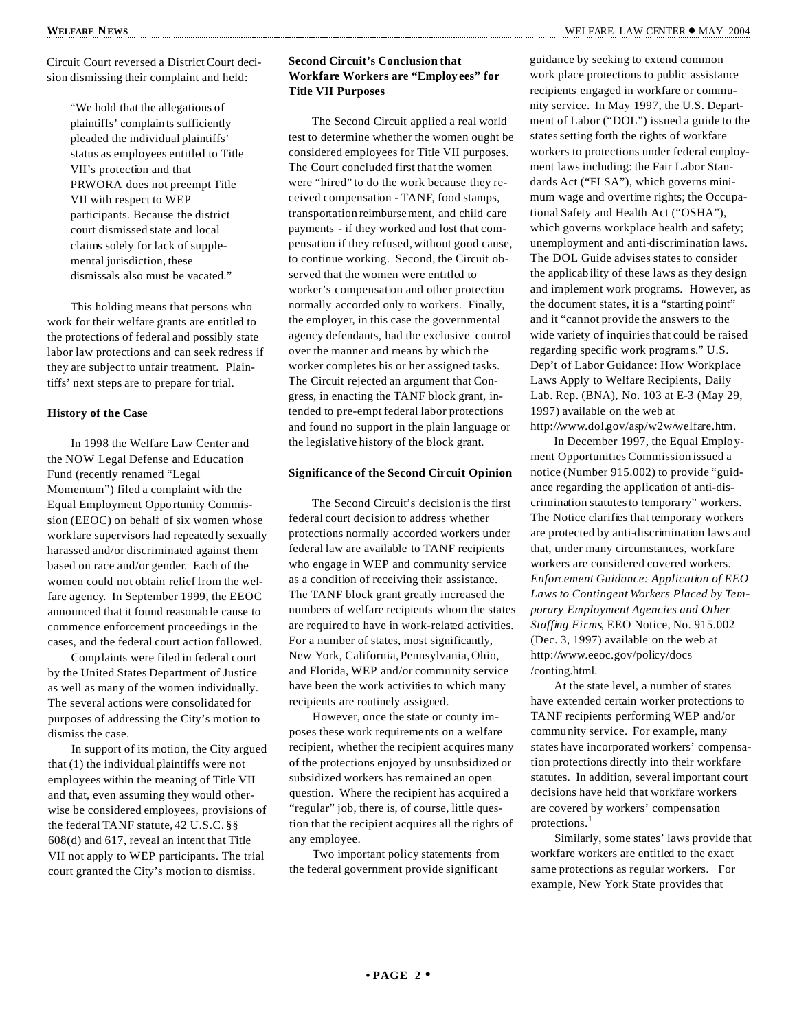Circuit Court reversed a District Court decision dismissing their complaint and held:

> "We hold that the allegations of plaintiffs' complaints sufficiently pleaded the individual plaintiffs' status as employees entitled to Title VII's protection and that PRWORA does not preempt Title VII with respect to WEP participants. Because the district court dismissed state and local claims solely for lack of supplemental jurisdiction, these dismissals also must be vacated."

This holding means that persons who work for their welfare grants are entitled to the protections of federal and possibly state labor law protections and can seek redress if they are subject to unfair treatment. Plaintiffs' next steps are to prepare for trial.

#### **History of the Case**

In 1998 the Welfare Law Center and the NOW Legal Defense and Education Fund (recently renamed "Legal Momentum") filed a complaint with the Equal Employment Oppo rtunity Commission (EEOC) on behalf of six women whose workfare supervisors had repeatedly sexually harassed and/or discriminated against them based on race and/or gender. Each of the women could not obtain relief from the welfare agency. In September 1999, the EEOC announced that it found reasonab le cause to commence enforcement proceedings in the cases, and the federal court action followed.

Complaints were filed in federal court by the United States Department of Justice as well as many of the women individually. The several actions were consolidated for purposes of addressing the City's motion to dismiss the case.

In support of its motion, the City argued that (1) the individual plaintiffs were not employees within the meaning of Title VII and that, even assuming they would otherwise be considered employees, provisions of the federal TANF statute, 42 U.S.C. §§ 608(d) and 617, reveal an intent that Title VII not apply to WEP participants. The trial court granted the City's motion to dismiss.

#### **Second Circuit's Conclusion that Workfare Workers are "Employees" for Title VII Purposes**

The Second Circuit applied a real world test to determine whether the women ought be considered employees for Title VII purposes. The Court concluded first that the women were "hired" to do the work because they received compensation - TANF, food stamps, transportation reimbursement, and child care payments - if they worked and lost that compensation if they refused, without good cause, to continue working. Second, the Circuit observed that the women were entitled to worker's compensation and other protection normally accorded only to workers. Finally, the employer, in this case the governmental agency defendants, had the exclusive control over the manner and means by which the worker completes his or her assigned tasks. The Circuit rejected an argument that Congress, in enacting the TANF block grant, intended to pre-empt federal labor protections and found no support in the plain language or the legislative history of the block grant.

#### **Significance of the Second Circuit Opinion**

The Second Circuit's decision is the first federal court decision to address whether protections normally accorded workers under federal law are available to TANF recipients who engage in WEP and community service as a condition of receiving their assistance. The TANF block grant greatly increased the numbers of welfare recipients whom the states are required to have in work-related activities. For a number of states, most significantly, New York, California, Pennsylvania, Ohio, and Florida, WEP and/or community service have been the work activities to which many recipients are routinely assigned.

However, once the state or county imposes these work requireme nts on a welfare recipient, whether the recipient acquires many of the protections enjoyed by unsubsidized or subsidized workers has remained an open question. Where the recipient has acquired a "regular" job, there is, of course, little question that the recipient acquires all the rights of any employee.

Two important policy statements from the federal government provide significant

guidance by seeking to extend common work place protections to public assistance recipients engaged in workfare or community service. In May 1997, the U.S. Department of Labor ("DOL") issued a guide to the states setting forth the rights of workfare workers to protections under federal employment laws including: the Fair Labor Standards Act ("FLSA"), which governs minimum wage and overtime rights; the Occupational Safety and Health Act ("OSHA"), which governs workplace health and safety; unemployment and anti-discrimination laws. The DOL Guide advises states to consider the applicability of these laws as they design and implement work programs. However, as the document states, it is a "starting point" and it "cannot provide the answers to the wide variety of inquiriesthat could be raised regarding specific work program s." U.S. Dep't of Labor Guidance: How Workplace Laws Apply to Welfare Recipients, Daily Lab. Rep. (BNA), No. 103 at E-3 (May 29, 1997) available on the web at http://www.dol.gov/asp/w2w/welfare.htm.

In December 1997, the Equal Employment Opportunities Commission issued a notice (Number 915.002) to provide "guidance regarding the application of anti-discrimination statutes to temporary" workers. The Notice clarifies that temporary workers are protected by anti-discrimination laws and that, under many circumstances, workfare workers are considered covered workers. *Enforcement Guidance: Application of EEO Laws to Contingent Workers Placed by Temporary Employment Agencies and Other Staffing Firms*, EEO Notice, No. 915.002 (Dec. 3, 1997) available on the web at http://www.eeoc.gov/policy/docs /conting.html.

At the state level, a number of states have extended certain worker protections to TANF recipients performing WEP and/or community service. For example, many states have incorporated workers' compensation protections directly into their workfare statutes. In addition, several important court decisions have held that workfare workers are covered by workers' compensation protections.<sup>1</sup>

Similarly, some states' laws provide that workfare workers are entitled to the exact same protections as regular workers. For example, New York State provides that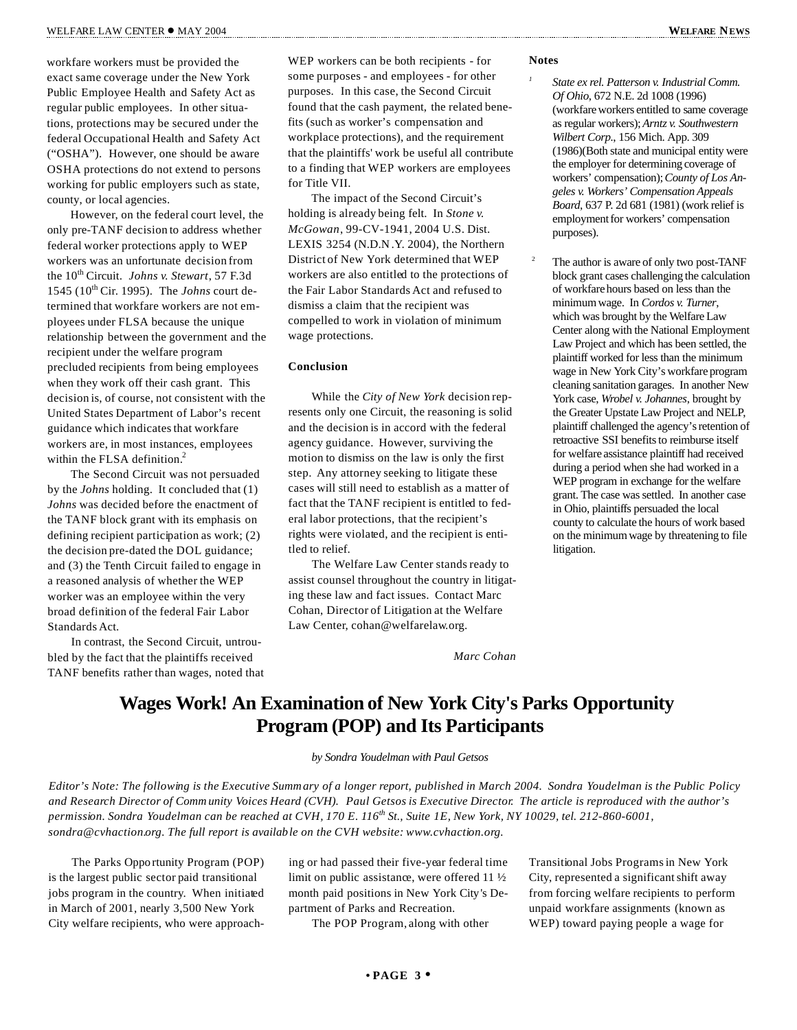workfare workers must be provided the exact same coverage under the New York Public Employee Health and Safety Act as regular public employees. In other situations, protections may be secured under the federal Occupational Health and Safety Act ("OSHA"). However, one should be aware OSHA protections do not extend to persons working for public employers such as state, county, or local agencies.

However, on the federal court level, the only pre-TANF decision to address whether federal worker protections apply to WEP workers was an unfortunate decision from the 10<sup>th</sup> Circuit. *Johns v. Stewart*, 57 F.3d 1545 (10th Cir. 1995). The *Johns* court determined that workfare workers are not employees under FLSA because the unique relationship between the government and the recipient under the welfare program precluded recipients from being employees when they work off their cash grant. This decision is, of course, not consistent with the United States Department of Labor's recent guidance which indicates that workfare workers are, in most instances, employees within the FLSA definition.<sup>2</sup>

The Second Circuit was not persuaded by the *Johns* holding. It concluded that (1) *Johns* was decided before the enactment of the TANF block grant with its emphasis on defining recipient participation as work; (2) the decision pre-dated the DOL guidance; and (3) the Tenth Circuit failed to engage in a reasoned analysis of whether the WEP worker was an employee within the very broad definition of the federal Fair Labor Standards Act.

In contrast, the Second Circuit, untroubled by the fact that the plaintiffs received TANF benefits rather than wages, noted that WEP workers can be both recipients - for some purposes - and employees - for other purposes. In this case, the Second Circuit found that the cash payment, the related benefits (such as worker's compensation and workplace protections), and the requirement that the plaintiffs' work be useful all contribute to a finding that WEP workers are employees for Title VII.

The impact of the Second Circuit's holding is already being felt. In *Stone v. McGowan*, 99-CV-1941, 2004 U.S. Dist. LEXIS 3254 (N.D.N .Y. 2004), the Northern District of New York determined that WEP workers are also entitled to the protections of the Fair Labor Standards Act and refused to dismiss a claim that the recipient was compelled to work in violation of minimum wage protections.

#### **Conclusion**

While the *City of New York* decision represents only one Circuit, the reasoning is solid and the decision is in accord with the federal agency guidance. However, surviving the motion to dismiss on the law is only the first step. Any attorney seeking to litigate these cases will still need to establish as a matter of fact that the TANF recipient is entitled to federal labor protections, that the recipient's rights were violated, and the recipient is entitled to relief.

The Welfare Law Center stands ready to assist counsel throughout the country in litigating these law and fact issues. Contact Marc Cohan, Director of Litigation at the Welfare Law Center, cohan@welfarelaw.org.

*Marc Cohan*

#### **Notes**

*1*

- *State ex rel. Patterson v. Industrial Comm. Of Ohio*, 672 N.E. 2d 1008 (1996) (workfare workers entitled to same coverage as regular workers);*Arntz v. Southwestern Wilbert Corp.*, 156 Mich. App. 309 (1986)(Both state and municipal entity were the employer for determining coverage of workers' compensation);*County of Los Angeles v. Workers' Compensation Appeals Board*, 637 P. 2d 681 (1981) (work relief is employment for workers' compensation purposes).
- <sup>2</sup> The author is aware of only two post-TANF block grant cases challenging the calculation of workfarehours based on less than the minimumwage. In *Cordos v. Turner*, which was brought by the Welfare Law Center along with the National Employment Law Project and which has been settled, the plaintiff worked for less than the minimum wage in New York City's workfare program cleaning sanitation garages. In another New York case, *Wrobel v. Johannes*, brought by the Greater Upstate Law Project and NELP, plaintiff challenged the agency's retention of retroactive SSI benefits to reimburse itself for welfare assistance plaintiff had received during a period when she had worked in a WEP program in exchange for the welfare grant. The case wassettled. In another case in Ohio, plaintiffs persuaded the local county to calculate the hours of work based on the minimumwage by threatening to file litigation.

## **Wages Work! An Examination of New York City's Parks Opportunity Program (POP) and Its Participants**

*by Sondra Youdelman with Paul Getsos*

Editor's Note: The following is the Executive Summary of a longer report, published in March 2004. Sondra Youdelman is the Public Policy and Research Director of Community Voices Heard (CVH). Paul Getsos is Executive Director. The article is reproduced with the author's permission. Sondra Youdelman can be reached at CVH, 170 E. 116<sup>th</sup> St., Suite 1E, New York, NY 10029, tel. 212-860-6001, *sondra@cvhaction.org. The full report is available on the CVH website: www.cvhaction.org.*

The Parks Oppo rtunity Program (POP) is the largest public sector paid transitional jobs program in the country. When initiated in March of 2001, nearly 3,500 New York City welfare recipients, who were approach-

ing or had passed their five-year federal time limit on public assistance, were offered 11  $\frac{1}{2}$ month paid positions in New York City's Department of Parks and Recreation.

The POP Program, along with other

Transitional Jobs Programsin New York City, represented a significantshift away from forcing welfare recipients to perform unpaid workfare assignments (known as WEP) toward paying people a wage for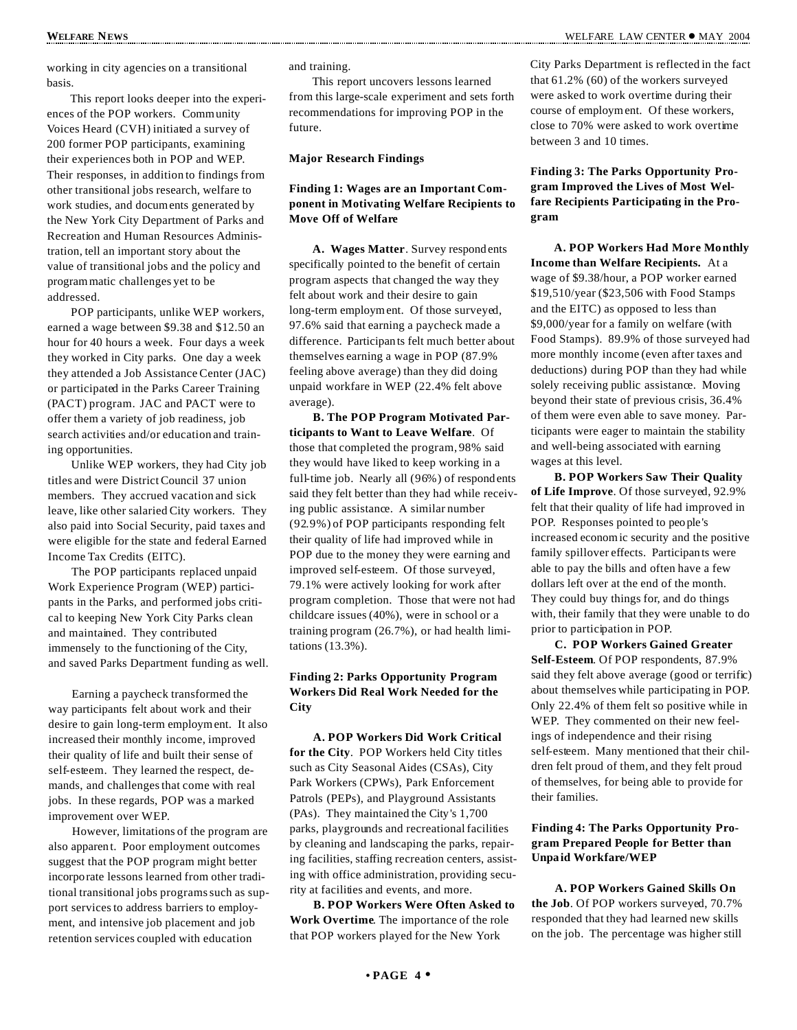working in city agencies on a transitional basis.

This report looks deeper into the experiences of the POP workers. Community Voices Heard (CVH) initiated a survey of 200 former POP participants, examining their experiences both in POP and WEP. Their responses, in addition to findings from other transitional jobs research, welfare to work studies, and documents generated by the New York City Department of Parks and Recreation and Human Resources Administration, tell an important story about the value of transitional jobs and the policy and program matic challenges yet to be addressed.

POP participants, unlike WEP workers, earned a wage between \$9.38 and \$12.50 an hour for 40 hours a week. Four days a week they worked in City parks. One day a week they attended a Job Assistance Center (JAC) or participated in the Parks Career Training (PACT) program. JAC and PACT were to offer them a variety of job readiness, job search activities and/or education and training opportunities.

Unlike WEP workers, they had City job titles and were District Council 37 union members. They accrued vacation and sick leave, like other salaried City workers. They also paid into Social Security, paid taxes and were eligible for the state and federal Earned Income Tax Credits (EITC).

The POP participants replaced unpaid Work Experience Program (WEP) participants in the Parks, and performed jobs critical to keeping New York City Parks clean and maintained. They contributed immensely to the functioning of the City, and saved Parks Department funding as well.

Earning a paycheck transformed the way participants felt about work and their desire to gain long-term employment. It also increased their monthly income, improved their quality of life and built their sense of self-esteem. They learned the respect, demands, and challengesthat come with real jobs. In these regards, POP was a marked improvement over WEP.

However, limitations of the program are also apparent. Poor employment outcomes suggest that the POP program might better incorporate lessons learned from other traditional transitional jobs programssuch as support services to address barriers to employment, and intensive job placement and job retention services coupled with education

and training.

This report uncovers lessons learned from this large-scale experiment and sets forth recommendations for improving POP in the future.

**Major Research Findings**

#### **Finding 1: Wages are an Important Component in Motivating Welfare Recipients to Move Off of Welfare**

**A. Wages Matter**. Survey respondents specifically pointed to the benefit of certain program aspects that changed the way they felt about work and their desire to gain long-term employment. Of those surveyed, 97.6% said that earning a paycheck made a difference. Participants felt much better about themselves earning a wage in POP (87.9% feeling above average) than they did doing unpaid workfare in WEP (22.4% felt above average).

**B. The POP Program Motivated Participants to Want to Leave Welfare**. Of those that completed the program, 98% said they would have liked to keep working in a full-time job. Nearly all (96%) of respondents said they felt better than they had while receiving public assistance. A similar number (92.9%) of POP participants responding felt their quality of life had improved while in POP due to the money they were earning and improved self-esteem. Of those surveyed, 79.1% were actively looking for work after program completion. Those that were not had childcare issues (40%), were in school or a training program (26.7%), or had health limitations (13.3%).

### **Finding 2: Parks Opportunity Program Workers Did Real Work Needed for the City**

**A. POP Workers Did Work Critical for the City**. POP Workers held City titles such as City Seasonal Aides (CSAs), City Park Workers (CPWs), Park Enforcement Patrols (PEPs), and Playground Assistants (PAs). They maintained the City's 1,700 parks, playgrounds and recreational facilities by cleaning and landscaping the parks, repairing facilities, staffing recreation centers, assisting with office administration, providing security at facilities and events, and more.

**B. POP Workers Were Often Asked to Work Overtime**. The importance of the role that POP workers played for the New York

City Parks Department is reflected in the fact that 61.2% (60) of the workers surveyed were asked to work overtime during their course of employment. Of these workers, close to 70% were asked to work overtime between 3 and 10 times.

**Finding 3: The Parks Opportunity Program Improved the Lives of Most Welfare Recipients Participating in the Program**

**A. POP Workers Had More Monthly Income than Welfare Recipients.** At a wage of \$9.38/hour, a POP worker earned \$19,510/year (\$23,506 with Food Stamps and the EITC) as opposed to less than \$9,000/year for a family on welfare (with Food Stamps). 89.9% of those surveyed had more monthly income (even after taxes and deductions) during POP than they had while solely receiving public assistance. Moving beyond their state of previous crisis, 36.4% of them were even able to save money. Participants were eager to maintain the stability and well-being associated with earning wages at this level.

**B. POP Workers Saw Their Quality of Life Improve**. Of those surveyed, 92.9% felt that their quality of life had improved in POP. Responses pointed to peo ple's increased econom ic security and the positive family spillover effects. Participants were able to pay the bills and often have a few dollars left over at the end of the month. They could buy things for, and do things with, their family that they were unable to do prior to participation in POP.

**C. POP Workers Gained Greater Self-Esteem**. Of POP respondents, 87.9% said they felt above average (good or terrific) about themselves while participating in POP. Only 22.4% of them felt so positive while in WEP. They commented on their new feelings of independence and their rising self-esteem. Many mentioned that their children felt proud of them, and they felt proud of themselves, for being able to provide for their families.

#### **Finding 4: The Parks Opportunity Program Prepared People for Better than Unpaid Workfare/WEP**

**A. POP Workers Gained Skills On the Job**. Of POP workers surveyed, 70.7% responded that they had learned new skills on the job. The percentage was higher still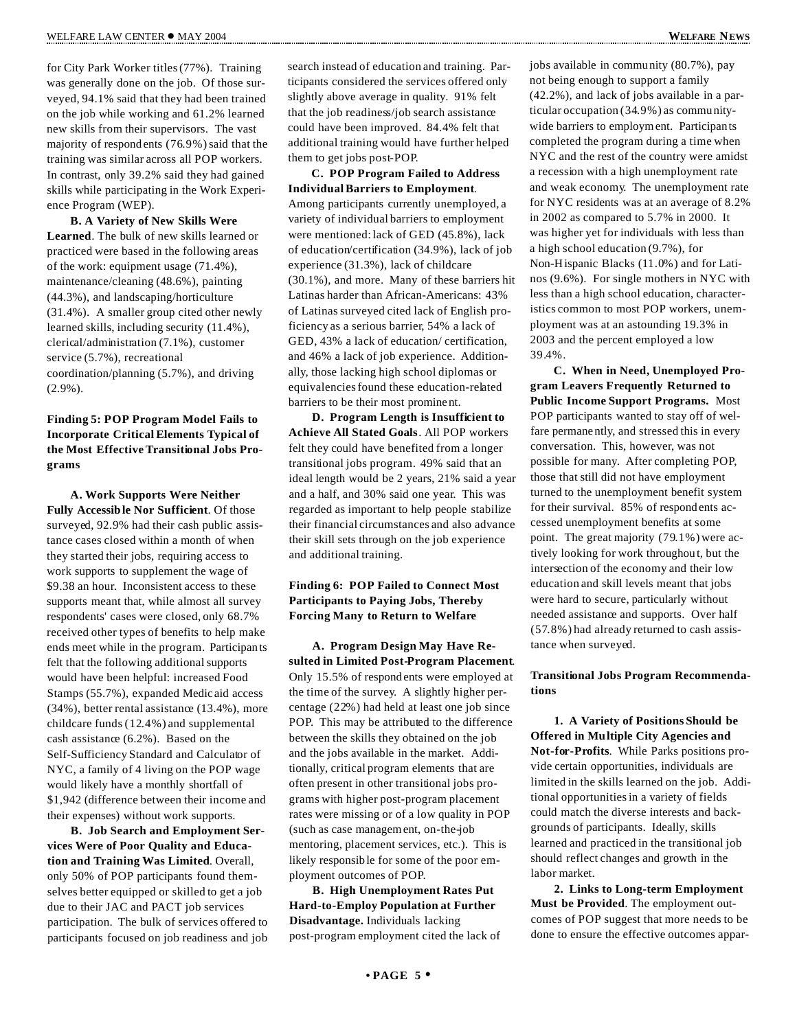for City Park Worker titles(77%). Training was generally done on the job. Of those surveyed, 94.1% said that they had been trained on the job while working and 61.2% learned new skills from their supervisors. The vast majority of respondents (76.9%) said that the training was similar across all POP workers. In contrast, only 39.2% said they had gained skills while participating in the Work Experience Program (WEP).

**B. A Variety of New Skills Were Learned**. The bulk of new skills learned or practiced were based in the following areas of the work: equipment usage (71.4%), maintenance/cleaning (48.6%), painting (44.3%), and landscaping/horticulture (31.4%). A smaller group cited other newly learned skills, including security (11.4%), clerical/administration (7.1%), customer service (5.7%), recreational coordination/planning (5.7%), and driving (2.9%).

#### **Finding 5: POP Program Model Fails to Incorporate Critical Elements Typical of the Most Effective Transitional Jobs Programs**

**A. Work Supports Were Neither Fully Accessible Nor Sufficient**. Of those surveyed, 92.9% had their cash public assistance cases closed within a month of when they started their jobs, requiring access to work supports to supplement the wage of \$9.38 an hour. Inconsistent access to these supports meant that, while almost all survey respondents' cases were closed, only 68.7% received other types of benefits to help make ends meet while in the program. Participants felt that the following additional supports would have been helpful: increased Food Stamps (55.7%), expanded Medicaid access (34%), better rental assistance (13.4%), more childcare funds (12.4%) and supplemental cash assistance (6.2%). Based on the Self-Sufficiency Standard and Calculator of NYC, a family of 4 living on the POP wage would likely have a monthly shortfall of \$1,942 (difference between their income and their expenses) without work supports.

**B. Job Search and Employment Services Were of Poor Quality and Education and Training Was Limited**. Overall, only 50% of POP participants found themselves better equipped or skilled to get a job due to their JAC and PACT job services participation. The bulk of services offered to participants focused on job readiness and job search instead of education and training. Participants considered the services offered only slightly above average in quality. 91% felt that the job readiness/job search assistance could have been improved. 84.4% felt that additional training would have further helped them to get jobs post-POP.

**C. POP Program Failed to Address IndividualBarriers to Employment**. Among participants currently unemployed, a variety of individual barriers to employment were mentioned: lack of GED (45.8%), lack of education/certification (34.9%), lack of job experience (31.3%), lack of childcare (30.1%), and more. Many of these barriers hit Latinas harder than African-Americans: 43% of Latinas surveyed cited lack of English proficiency as a serious barrier, 54% a lack of GED, 43% a lack of education/ certification, and 46% a lack of job experience. Additionally, those lacking high school diplomas or equivalenciesfound these education-related barriers to be their most prominent.

**D. Program Length is Insufficient to Achieve All Stated Goals**. All POP workers felt they could have benefited from a longer transitional jobs program. 49% said that an ideal length would be 2 years, 21% said a year and a half, and 30% said one year. This was regarded as important to help people stabilize their financial circumstances and also advance their skill sets through on the job experience and additional training.

#### **Finding 6: POP Failed to Connect Most Participants to Paying Jobs, Thereby Forcing Many to Return to Welfare**

**A. Program Design May Have Resulted in Limited Post-Program Placement**. Only 15.5% of respondents were employed at the time of the survey. A slightly higher percentage (22%) had held at least one job since POP. This may be attributed to the difference between the skills they obtained on the job and the jobs available in the market. Additionally, critical program elements that are often present in other transitional jobs programs with higher post-program placement rates were missing or of a low quality in POP (such as case managem ent, on-the-job mentoring, placement services, etc.). This is likely responsible for some of the poor employment outcomes of POP.

**B. High Unemployment Rates Put Hard-to-Employ Population at Further Disadvantage.** Individuals lacking post-program employment cited the lack of jobs available in community (80.7%), pay not being enough to support a family (42.2%), and lack of jobs available in a particular occupation (34.9%) as communitywide barriers to employment. Participants completed the program during a time when NYC and the rest of the country were amidst a recession with a high unemployment rate and weak economy. The unemployment rate for NYC residents was at an average of 8.2% in 2002 as compared to 5.7% in 2000. It was higher yet for individuals with less than a high school education (9.7%), for Non-Hispanic Blacks (11.0%) and for Latinos (9.6%). For single mothers in NYC with less than a high school education, characteristics common to most POP workers, unemployment was at an astounding 19.3% in 2003 and the percent employed a low 39.4%.

**C. When in Need, Unemployed Program Leavers Frequently Returned to Public Income Support Programs.** Most POP participants wanted to stay off of welfare permanently, and stressed this in every conversation. This, however, was not possible for many. After completing POP, those that still did not have employment turned to the unemployment benefit system for their survival. 85% of respondents accessed unemployment benefits at some point. The great majority (79.1%) were actively looking for work throughout, but the intersection of the economy and their low education and skill levels meant that jobs were hard to secure, particularly without needed assistance and supports. Over half (57.8%) had already returned to cash assistance when surveyed.

#### **Transitional Jobs Program Recommendations**

**1. A Variety of Positions Should be Offered in Multiple City Agencies and Not-for-Profits**. While Parks positions provide certain opportunities, individuals are limited in the skills learned on the job. Additional opportunitiesin a variety of fields could match the diverse interests and backgrounds of participants. Ideally, skills learned and practiced in the transitional job should reflect changes and growth in the labor market.

**2. Links to Long-term Employment Must be Provided**. The employment outcomes of POP suggest that more needs to be done to ensure the effective outcomes appar-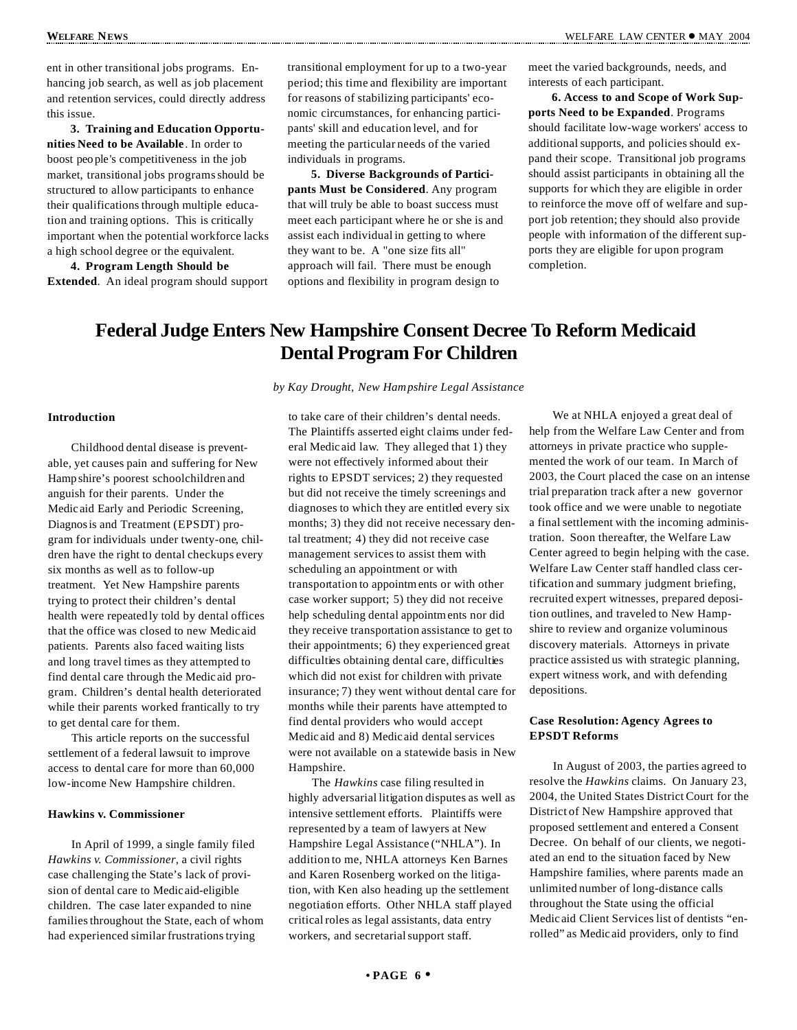ent in other transitional jobs programs. Enhancing job search, as well as job placement and retention services, could directly address this issue.

**3. Training and Education Opportunities Need to be Available** . In order to boost peo ple's competitiveness in the job market, transitional jobs programsshould be structured to allow participants to enhance their qualifications through multiple education and training options. This is critically important when the potential workforce lacks a high school degree or the equivalent.

**4. Program Length Should be Extended**. An ideal program should support transitional employment for up to a two-year period; this time and flexibility are important for reasons of stabilizing participants' economic circumstances, for enhancing participants' skill and education level, and for meeting the particular needs of the varied individuals in programs.

**5. Diverse Backgrounds of Participants Must be Considered**. Any program that will truly be able to boast success must meet each participant where he or she is and assist each individual in getting to where they want to be. A "one size fits all" approach will fail. There must be enough options and flexibility in program design to

meet the varied backgrounds, needs, and interests of each participant.

**6. Access to and Scope of Work Supports Need to be Expanded**. Programs should facilitate low-wage workers' access to additional supports, and policies should expand their scope. Transitional job programs should assist participants in obtaining all the supports for which they are eligible in order to reinforce the move off of welfare and support job retention; they should also provide people with information of the different supports they are eligible for upon program completion.

## **Federal Judge Enters New Hampshire Consent Decree To Reform Medicaid Dental Program For Children**

#### **Introduction**

Childhood dental disease is preventable, yet causes pain and suffering for New Hampshire's poorest schoolchildren and anguish for their parents. Under the Medicaid Early and Periodic Screening, Diagnosis and Treatment (EPSDT) program for individuals under twenty-one, children have the right to dental checkups every six months as well as to follow-up treatment. Yet New Hampshire parents trying to protect their children's dental health were repeatedly told by dental offices that the office was closed to new Medicaid patients. Parents also faced waiting lists and long travel times as they attempted to find dental care through the Medicaid program. Children's dental health deteriorated while their parents worked frantically to try to get dental care for them.

This article reports on the successful settlement of a federal lawsuit to improve access to dental care for more than 60,000 low-income New Hampshire children.

#### **Hawkins v. Commissioner**

In April of 1999, a single family filed *Hawkins v. Commissioner*, a civil rights case challenging the State's lack of provision of dental care to Medicaid-eligible children. The case later expanded to nine families throughout the State, each of whom had experienced similar frustrations trying

*by Kay Drought, New Hampshire Legal Assistance*

to take care of their children's dental needs. The Plaintiffs asserted eight claims under federal Medicaid law. They alleged that 1) they were not effectively informed about their rights to EPSDT services; 2) they requested but did not receive the timely screenings and diagnoses to which they are entitled every six months; 3) they did not receive necessary dental treatment; 4) they did not receive case management services to assist them with scheduling an appointment or with transportation to appointm ents or with other case worker support; 5) they did not receive help scheduling dental appointm ents nor did they receive transportation assistance to get to their appointments; 6) they experienced great difficulties obtaining dental care, difficulties which did not exist for children with private insurance; 7) they went without dental care for months while their parents have attempted to find dental providers who would accept Medicaid and 8) Medicaid dental services were not available on a statewide basis in New Hampshire.

The *Hawkins* case filing resulted in highly adversarial litigation disputes as well as intensive settlement efforts. Plaintiffs were represented by a team of lawyers at New Hampshire Legal Assistance ("NHLA"). In addition to me, NHLA attorneys Ken Barnes and Karen Rosenberg worked on the litigation, with Ken also heading up the settlement negotiation efforts. Other NHLA staff played critical roles as legal assistants, data entry workers, and secretarialsupport staff.

We at NHLA enjoyed a great deal of help from the Welfare Law Center and from attorneys in private practice who supplemented the work of our team. In March of 2003, the Court placed the case on an intense trial preparation track after a new governor took office and we were unable to negotiate a final settlement with the incoming administration. Soon thereafter, the Welfare Law Center agreed to begin helping with the case. Welfare Law Center staff handled class certification and summary judgment briefing, recruited expert witnesses, prepared deposition outlines, and traveled to New Hampshire to review and organize voluminous discovery materials. Attorneys in private practice assisted us with strategic planning, expert witness work, and with defending depositions.

#### **Case Resolution: Agency Agrees to EPSDT Reforms**

In August of 2003, the parties agreed to resolve the *Hawkins* claims. On January 23, 2004, the United States District Court for the District of New Hampshire approved that proposed settlement and entered a Consent Decree. On behalf of our clients, we negotiated an end to the situation faced by New Hampshire families, where parents made an unlimited number of long-distance calls throughout the State using the official Medicaid Client Services list of dentists "enrolled" as Medicaid providers, only to find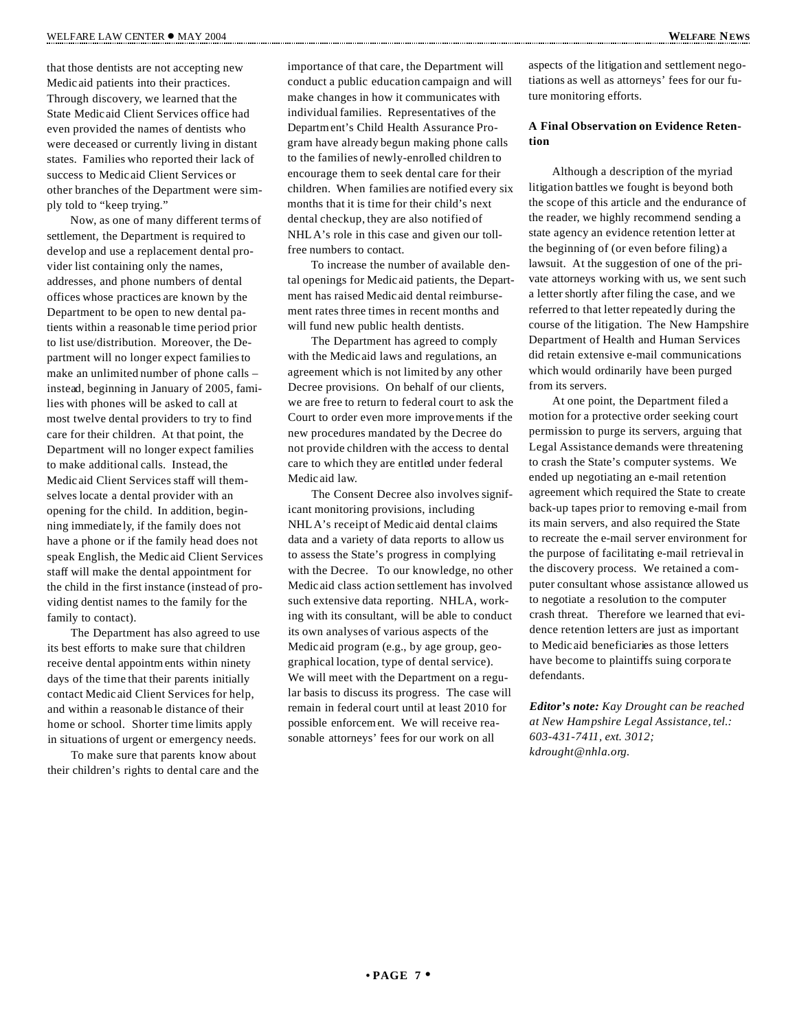that those dentists are not accepting new Medicaid patients into their practices. Through discovery, we learned that the State Medicaid Client Services office had even provided the names of dentists who were deceased or currently living in distant states. Families who reported their lack of success to Medicaid Client Services or other branches of the Department were simply told to "keep trying."

Now, as one of many different terms of settlement, the Department is required to develop and use a replacement dental provider list containing only the names, addresses, and phone numbers of dental offices whose practices are known by the Department to be open to new dental patients within a reasonab le time period prior to list use/distribution. Moreover, the Department will no longer expect familiesto make an unlimited number of phone calls – instead, beginning in January of 2005, families with phones will be asked to call at most twelve dental providers to try to find care for their children. At that point, the Department will no longer expect families to make additional calls. Instead, the Medicaid Client Services staff will themselves locate a dental provider with an opening for the child. In addition, beginning immediately, if the family does not have a phone or if the family head does not speak English, the Medicaid Client Services staff will make the dental appointment for the child in the first instance (instead of providing dentist names to the family for the family to contact).

The Department has also agreed to use its best efforts to make sure that children receive dental appointm ents within ninety days of the time that their parents initially contact Medicaid Client Services for help, and within a reasonab le distance of their home or school. Shorter time limits apply in situations of urgent or emergency needs.

To make sure that parents know about their children's rights to dental care and the importance of that care, the Department will conduct a public education campaign and will make changes in how it communicates with individual families. Representatives of the Departm ent's Child Health Assurance Program have already begun making phone calls to the families of newly-enrolled children to encourage them to seek dental care for their children. When families are notified every six months that it is time for their child's next dental checkup, they are also notified of NHLA's role in this case and given our tollfree numbers to contact.

To increase the number of available dental openings for Medicaid patients, the Department has raised Medicaid dental reimbursement rates three times in recent months and will fund new public health dentists.

The Department has agreed to comply with the Medicaid laws and regulations, an agreement which is not limited by any other Decree provisions. On behalf of our clients, we are free to return to federal court to ask the Court to order even more improvements if the new procedures mandated by the Decree do not provide children with the access to dental care to which they are entitled under federal Medicaid law.

The Consent Decree also involves significant monitoring provisions, including NHLA's receipt of Medicaid dental claims data and a variety of data reports to allow us to assess the State's progress in complying with the Decree. To our knowledge, no other Medicaid class action settlement has involved such extensive data reporting. NHLA, working with its consultant, will be able to conduct its own analyses of various aspects of the Medicaid program (e.g., by age group, geographical location, type of dental service). We will meet with the Department on a regular basis to discuss its progress. The case will remain in federal court until at least 2010 for possible enforcement. We will receive reasonable attorneys' fees for our work on all

aspects of the litigation and settlement negotiations as well as attorneys' fees for our future monitoring efforts.

#### **A Final Observation on Evidence Retention**

Although a description of the myriad litigation battles we fought is beyond both the scope of this article and the endurance of the reader, we highly recommend sending a state agency an evidence retention letter at the beginning of (or even before filing) a lawsuit. At the suggestion of one of the private attorneys working with us, we sent such a letter shortly after filing the case, and we referred to that letter repeatedly during the course of the litigation. The New Hampshire Department of Health and Human Services did retain extensive e-mail communications which would ordinarily have been purged from its servers.

At one point, the Department filed a motion for a protective order seeking court permission to purge its servers, arguing that Legal Assistance demands were threatening to crash the State's computer systems. We ended up negotiating an e-mail retention agreement which required the State to create back-up tapes prior to removing e-mail from its main servers, and also required the State to recreate the e-mail server environment for the purpose of facilitating e-mail retrieval in the discovery process. We retained a computer consultant whose assistance allowed us to negotiate a resolution to the computer crash threat. Therefore we learned that evidence retention letters are just as important to Medicaid beneficiaries as those letters have become to plaintiffs suing corpora te defendants.

*Editor's note: Kay Drought can be reached at New Hampshire Legal Assistance, tel.: 603-431-7411, ext. 3012; kdrought@nhla.org.*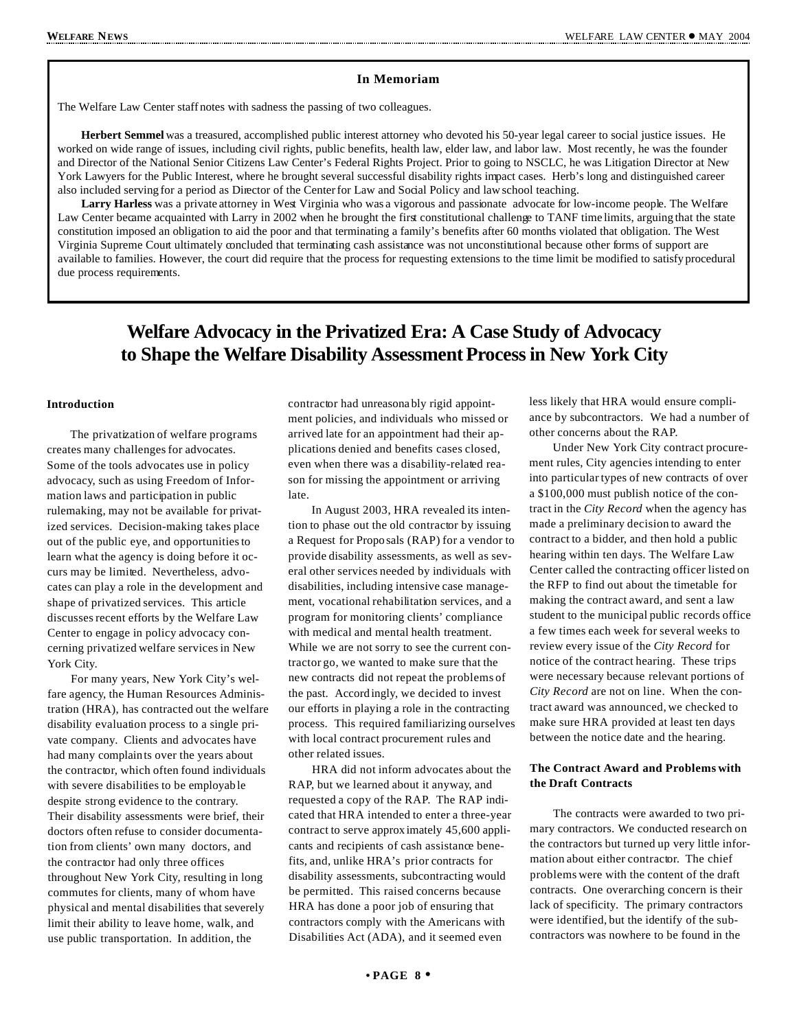#### **In Memoriam**

The Welfare Law Center staff notes with sadness the passing of two colleagues.

**Herbert Semmel** was a treasured, accomplished public interest attorney who devoted his 50-year legal career to social justice issues. He worked on wide range of issues, including civil rights, public benefits, health law, elder law, and labor law. Most recently, he was the founder and Director of the National Senior Citizens Law Center's Federal Rights Project. Prior to going to NSCLC, he was Litigation Director at New York Lawyers for the Public Interest, where he brought several successful disability rights impact cases. Herb's long and distinguished career also included serving for a period as Director of the Center for Law and Social Policy and law school teaching.

**Larry Harless** was a private attorney in West Virginia who was a vigorous and passionate advocate for low-income people. The Welfare Law Center became acquainted with Larry in 2002 when he brought the first constitutional challenge to TANF time limits, arguing that the state constitution imposed an obligation to aid the poor and that terminating a family's benefits after 60 months violated that obligation. The West Virginia Supreme Court ultimately concluded that terminating cash assistance was not unconstitutional because other forms of support are available to families. However, the court did require that the process for requesting extensions to the time limit be modified to satisfy procedural due process requirements.

## **Welfare Advocacy in the Privatized Era: A Case Study of Advocacy to Shape the Welfare Disability AssessmentProcessin New York City**

#### **Introduction**

The privatization of welfare programs creates many challenges for advocates. Some of the tools advocates use in policy advocacy, such as using Freedom of Information laws and participation in public rulemaking, may not be available for privatized services. Decision-making takes place out of the public eye, and opportunitiesto learn what the agency is doing before it occurs may be limited. Nevertheless, advocates can play a role in the development and shape of privatized services. This article discussesrecent efforts by the Welfare Law Center to engage in policy advocacy concerning privatized welfare servicesin New York City.

For many years, New York City's welfare agency, the Human Resources Administration (HRA), has contracted out the welfare disability evaluation process to a single private company. Clients and advocates have had many complaints over the years about the contractor, which often found individuals with severe disabilities to be employab le despite strong evidence to the contrary. Their disability assessments were brief, their doctors often refuse to consider documentation from clients' own many doctors, and the contractor had only three offices throughout New York City, resulting in long commutes for clients, many of whom have physical and mental disabilities that severely limit their ability to leave home, walk, and use public transportation. In addition, the

contractor had unreasona bly rigid appointment policies, and individuals who missed or arrived late for an appointment had their applications denied and benefits cases closed, even when there was a disability-related reason for missing the appointment or arriving late.

In August 2003, HRA revealed its intention to phase out the old contractor by issuing a Request for Proposals (RAP) for a vendor to provide disability assessments, as well as several other services needed by individuals with disabilities, including intensive case management, vocational rehabilitation services, and a program for monitoring clients' compliance with medical and mental health treatment. While we are not sorry to see the current contractor go, we wanted to make sure that the new contracts did not repeat the problems of the past. Accordingly, we decided to invest our efforts in playing a role in the contracting process. This required familiarizing ourselves with local contract procurement rules and other related issues.

HRA did not inform advocates about the RAP, but we learned about it anyway, and requested a copy of the RAP. The RAP indicated that HRA intended to enter a three-year contract to serve approximately 45,600 applicants and recipients of cash assistance benefits, and, unlike HRA's prior contracts for disability assessments, subcontracting would be permitted. This raised concerns because HRA has done a poor job of ensuring that contractors comply with the Americans with Disabilities Act (ADA), and it seemed even

less likely that HRA would ensure compliance by subcontractors. We had a number of other concerns about the RAP.

Under New York City contract procurement rules, City agencies intending to enter into particular types of new contracts of over a \$100,000 must publish notice of the contract in the *City Record* when the agency has made a preliminary decision to award the contract to a bidder, and then hold a public hearing within ten days. The Welfare Law Center called the contracting officer listed on the RFP to find out about the timetable for making the contract award, and sent a law student to the municipal public records office a few times each week for several weeks to review every issue of the *City Record* for notice of the contract hearing. These trips were necessary because relevant portions of *City Record* are not on line. When the contract award was announced, we checked to make sure HRA provided at least ten days between the notice date and the hearing.

#### **The Contract Award and Problems with the Draft Contracts**

The contracts were awarded to two primary contractors. We conducted research on the contractors but turned up very little information about either contractor. The chief problems were with the content of the draft contracts. One overarching concern is their lack of specificity. The primary contractors were identified, but the identify of the subcontractors was nowhere to be found in the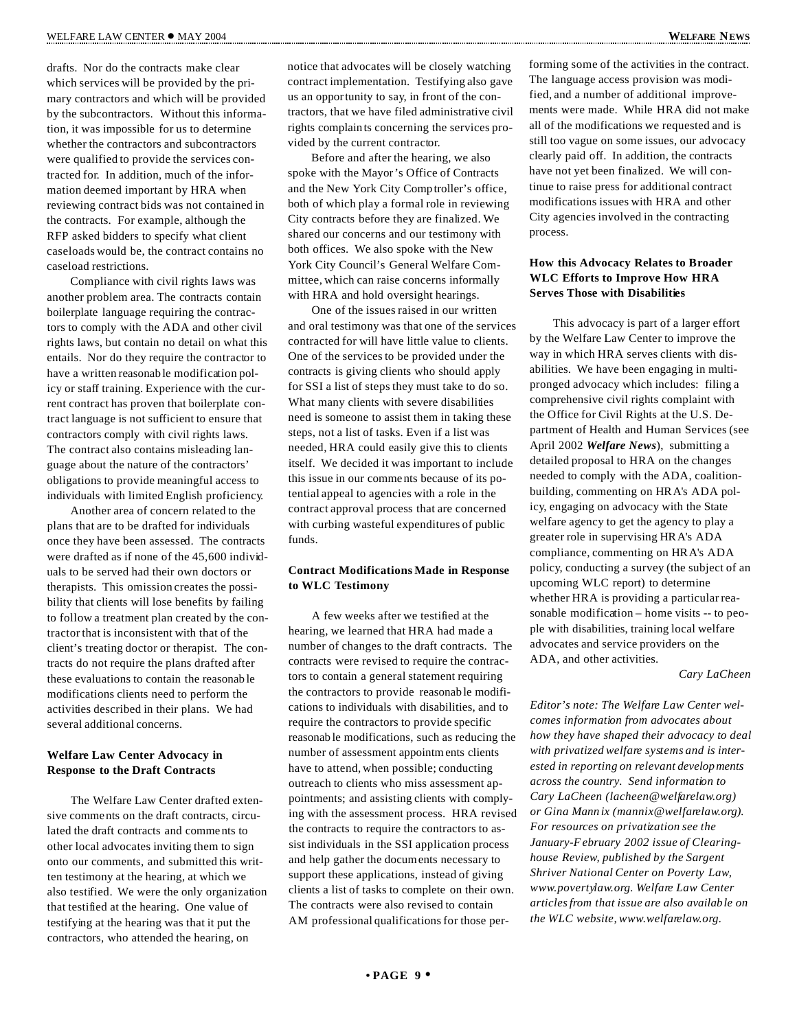drafts. Nor do the contracts make clear which services will be provided by the primary contractors and which will be provided by the subcontractors. Without this information, it was impossible for us to determine whether the contractors and subcontractors were qualified to provide the services contracted for. In addition, much of the information deemed important by HRA when reviewing contract bids was not contained in the contracts. For example, although the RFP asked bidders to specify what client caseloads would be, the contract contains no caseload restrictions.

Compliance with civil rights laws was another problem area. The contracts contain boilerplate language requiring the contractors to comply with the ADA and other civil rights laws, but contain no detail on what this entails. Nor do they require the contractor to have a written reasonab le modification policy or staff training. Experience with the current contract has proven that boilerplate contract language is not sufficient to ensure that contractors comply with civil rights laws. The contract also contains misleading language about the nature of the contractors' obligations to provide meaningful access to individuals with limited English proficiency.

Another area of concern related to the plans that are to be drafted for individuals once they have been assessed. The contracts were drafted as if none of the 45,600 individuals to be served had their own doctors or therapists. This omission creates the possibility that clients will lose benefits by failing to follow a treatment plan created by the contractorthat is inconsistent with that of the client's treating doctor or therapist. The contracts do not require the plans drafted after these evaluations to contain the reasonab le modifications clients need to perform the activities described in their plans. We had several additional concerns.

#### **Welfare Law Center Advocacy in Response to the Draft Contracts**

The Welfare Law Center drafted extensive comments on the draft contracts, circulated the draft contracts and comments to other local advocates inviting them to sign onto our comments, and submitted this written testimony at the hearing, at which we also testified. We were the only organization that testified at the hearing. One value of testifying at the hearing was that it put the contractors, who attended the hearing, on

notice that advocates will be closely watching contract implementation. Testifying also gave us an opportunity to say, in front of the contractors, that we have filed administrative civil rights complaints concerning the services provided by the current contractor.

Before and after the hearing, we also spoke with the Mayor's Office of Contracts and the New York City Comptroller's office, both of which play a formal role in reviewing City contracts before they are finalized. We shared our concerns and our testimony with both offices. We also spoke with the New York City Council's General Welfare Committee, which can raise concerns informally with HRA and hold oversight hearings.

One of the issues raised in our written and oral testimony was that one of the services contracted for will have little value to clients. One of the services to be provided under the contracts is giving clients who should apply for SSI a list of steps they must take to do so. What many clients with severe disabilities need is someone to assist them in taking these steps, not a list of tasks. Even if a list was needed, HRA could easily give this to clients itself. We decided it was important to include this issue in our comments because of its potential appeal to agencies with a role in the contract approval process that are concerned with curbing wasteful expenditures of public funds.

#### **Contract Modifications Made in Response to WLC Testimony**

A few weeks after we testified at the hearing, we learned that HRA had made a number of changes to the draft contracts. The contracts were revised to require the contractors to contain a general statement requiring the contractors to provide reasonab le modifications to individuals with disabilities, and to require the contractors to provide specific reasonab le modifications, such as reducing the number of assessment appointm ents clients have to attend, when possible; conducting outreach to clients who miss assessment appointments; and assisting clients with complying with the assessment process. HRA revised the contracts to require the contractors to assist individuals in the SSI application process and help gather the documents necessary to support these applications, instead of giving clients a list of tasks to complete on their own. The contracts were also revised to contain AM professional qualifications for those performing some of the activities in the contract. The language access provision was modified, and a number of additional improvements were made. While HRA did not make all of the modifications we requested and is still too vague on some issues, our advocacy clearly paid off. In addition, the contracts have not yet been finalized. We will continue to raise press for additional contract modifications issues with HRA and other City agencies involved in the contracting process.

#### **How this Advocacy Relates to Broader WLC Efforts to Improve How HRA Serves Those with Disabilities**

This advocacy is part of a larger effort by the Welfare Law Center to improve the way in which HRA serves clients with disabilities. We have been engaging in multipronged advocacy which includes: filing a comprehensive civil rights complaint with the Office for Civil Rights at the U.S. Department of Health and Human Services (see April 2002 *Welfare News*), submitting a detailed proposal to HRA on the changes needed to comply with the ADA, coalitionbuilding, commenting on HRA's ADA policy, engaging on advocacy with the State welfare agency to get the agency to play a greater role in supervising HRA's ADA compliance, commenting on HRA's ADA policy, conducting a survey (the subject of an upcoming WLC report) to determine whether HRA is providing a particular reasonable modification – home visits -- to people with disabilities, training local welfare advocates and service providers on the ADA, and other activities.

#### *Cary LaCheen*

*Editor's note: The Welfare Law Center welcomes information from advocates about how they have shaped their advocacy to deal with privatized welfare systems and is interested in reporting on relevant developments across the country. Send information to Cary LaCheen (lacheen@welfarelaw.org) or Gina Mann ix (mannix@welfarelaw.org). For resources on privatization see the January-F ebruary 2002 issue of Clearinghouse Review, published by the Sargent Shriver National Center on Poverty Law, www.povertylaw.org. Welfare Law Center articlesfrom that issue are also available on the WLC website, www.welfarelaw.org.*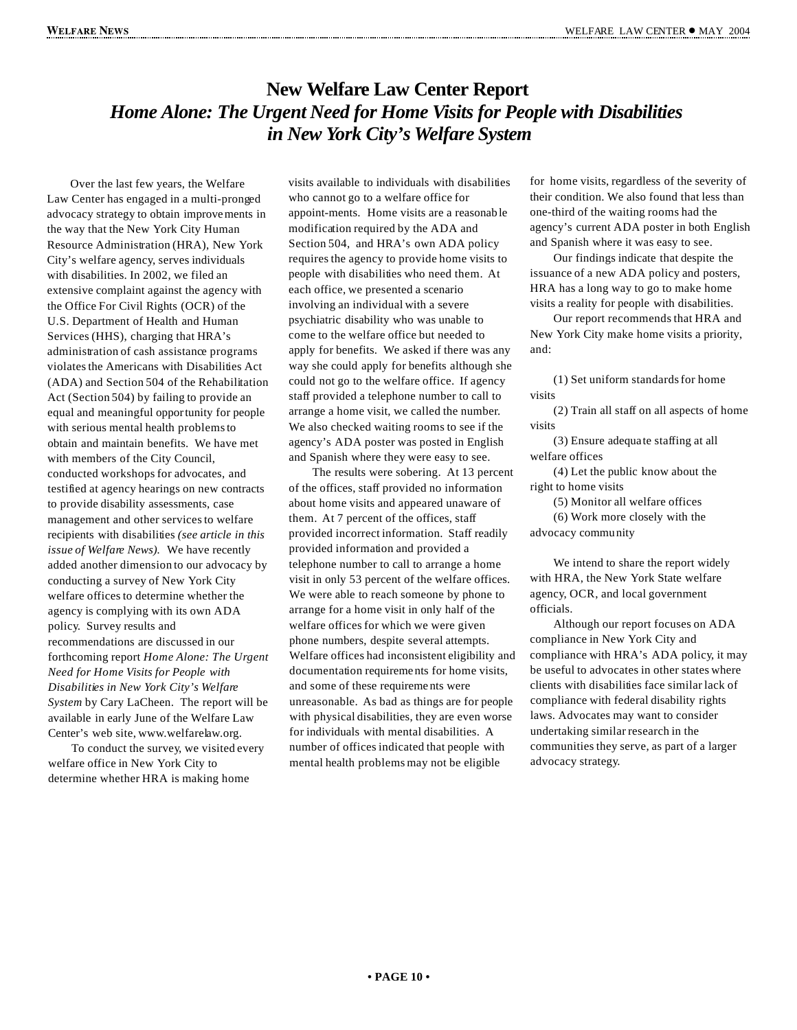## **New Welfare Law Center Report** *Home Alone: The Urgent Need for Home Visits for People with Disabilities in New York City's Welfare System*

Over the last few years, the Welfare Law Center has engaged in a multi-pronged advocacy strategy to obtain improvements in the way that the New York City Human Resource Administration (HRA), New York City's welfare agency, serves individuals with disabilities. In 2002, we filed an extensive complaint against the agency with the Office For Civil Rights (OCR) of the U.S. Department of Health and Human Services (HHS), charging that HRA's administration of cash assistance programs violates the Americans with Disabilities Act (ADA) and Section 504 of the Rehabilitation Act (Section 504) by failing to provide an equal and meaningful opportunity for people with serious mental health problemsto obtain and maintain benefits. We have met with members of the City Council, conducted workshops for advocates, and testified at agency hearings on new contracts to provide disability assessments, case management and other services to welfare recipients with disabilities *(see article in this issue of Welfare News).* We have recently added another dimension to our advocacy by conducting a survey of New York City welfare offices to determine whether the agency is complying with its own ADA policy. Survey results and recommendations are discussed in our forthcoming report *Home Alone: The Urgent Need for Home Visits for People with Disabilities in New York City's Welfare System* by Cary LaCheen. The report will be available in early June of the Welfare Law Center's web site, www.welfarelaw.org.

To conduct the survey, we visited every welfare office in New York City to determine whether HRA is making home

visits available to individuals with disabilities who cannot go to a welfare office for appoint-ments. Home visits are a reasonab le modification required by the ADA and Section 504, and HRA's own ADA policy requires the agency to provide home visits to people with disabilities who need them. At each office, we presented a scenario involving an individual with a severe psychiatric disability who was unable to come to the welfare office but needed to apply for benefits. We asked if there was any way she could apply for benefits although she could not go to the welfare office. If agency staff provided a telephone number to call to arrange a home visit, we called the number. We also checked waiting rooms to see if the agency's ADA poster was posted in English and Spanish where they were easy to see.

The results were sobering. At 13 percent of the offices, staff provided no information about home visits and appeared unaware of them. At 7 percent of the offices, staff provided incorrect information. Staff readily provided information and provided a telephone number to call to arrange a home visit in only 53 percent of the welfare offices. We were able to reach someone by phone to arrange for a home visit in only half of the welfare offices for which we were given phone numbers, despite several attempts. Welfare offices had inconsistent eligibility and documentation requireme nts for home visits, and some of these requireme nts were unreasonable. As bad as things are for people with physical disabilities, they are even worse for individuals with mental disabilities. A number of offices indicated that people with mental health problems may not be eligible

for home visits, regardless of the severity of their condition. We also found that less than one-third of the waiting rooms had the agency's current ADA poster in both English and Spanish where it was easy to see.

Our findings indicate that despite the issuance of a new ADA policy and posters, HRA has a long way to go to make home visits a reality for people with disabilities.

Our report recommends that HRA and New York City make home visits a priority, and:

(1) Set uniform standardsfor home visits

(2) Train all staff on all aspects of home visits

(3) Ensure adequate staffing at all welfare offices

(4) Let the public know about the right to home visits

(5) Monitor all welfare offices (6) Work more closely with the advocacy community

We intend to share the report widely with HRA, the New York State welfare agency, OCR, and local government officials.

Although our report focuses on ADA compliance in New York City and compliance with HRA's ADA policy, it may be useful to advocates in other states where clients with disabilities face similar lack of compliance with federal disability rights laws. Advocates may want to consider undertaking similar research in the communities they serve, as part of a larger advocacy strategy.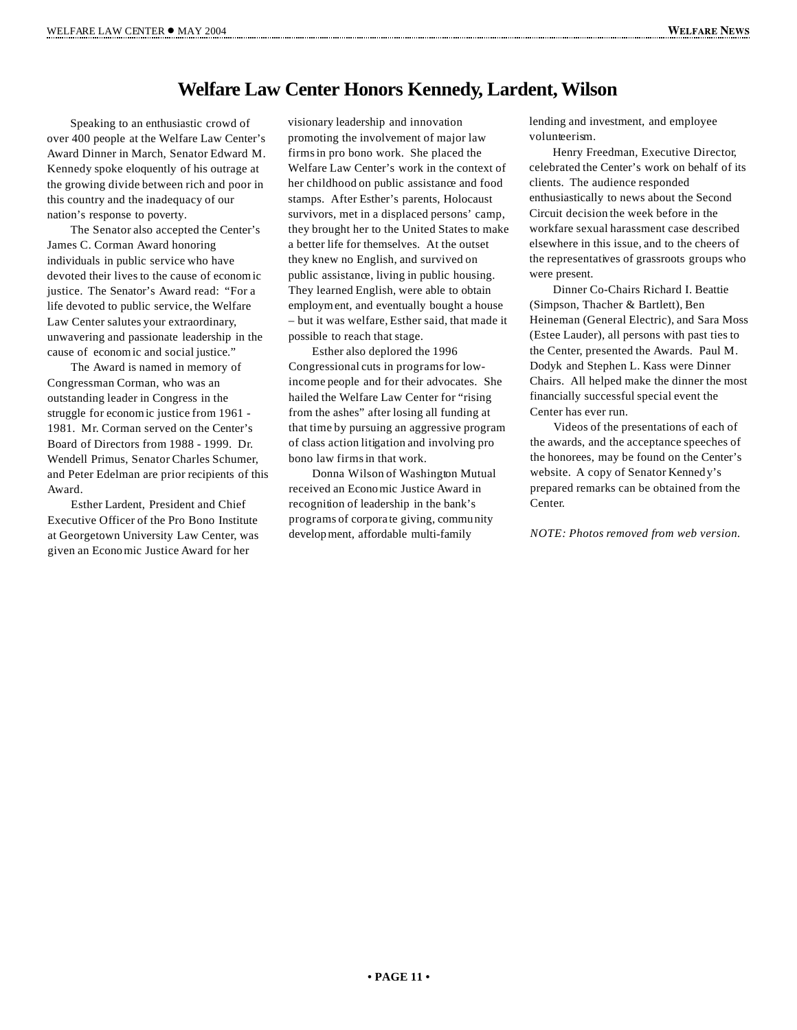## **Welfare Law Center Honors Kennedy, Lardent, Wilson**

Speaking to an enthusiastic crowd of over 400 people at the Welfare Law Center's Award Dinner in March, Senator Edward M. Kennedy spoke eloquently of his outrage at the growing divide between rich and poor in this country and the inadequacy of our nation's response to poverty.

The Senator also accepted the Center's James C. Corman Award honoring individuals in public service who have devoted their lives to the cause of econom ic justice. The Senator's Award read: "For a life devoted to public service, the Welfare Law Center salutes your extraordinary, unwavering and passionate leadership in the cause of econom ic and social justice."

The Award is named in memory of Congressman Corman, who was an outstanding leader in Congress in the struggle for econom ic justice from 1961 - 1981. Mr. Corman served on the Center's Board of Directors from 1988 - 1999. Dr. Wendell Primus, Senator Charles Schumer, and Peter Edelman are prior recipients of this Award.

Esther Lardent, President and Chief Executive Officer of the Pro Bono Institute at Georgetown University Law Center, was given an Economic Justice Award for her

visionary leadership and innovation promoting the involvement of major law firmsin pro bono work. She placed the Welfare Law Center's work in the context of her childhood on public assistance and food stamps. After Esther's parents, Holocaust survivors, met in a displaced persons' camp, they brought her to the United States to make a better life for themselves. At the outset they knew no English, and survived on public assistance, living in public housing. They learned English, were able to obtain employment, and eventually bought a house – but it was welfare, Esther said, that made it possible to reach that stage.

Esther also deplored the 1996 Congressional cuts in programsfor lowincome people and for their advocates. She hailed the Welfare Law Center for "rising from the ashes" after losing all funding at that time by pursuing an aggressive program of class action litigation and involving pro bono law firmsin that work.

Donna Wilson of Washington Mutual received an Economic Justice Award in recognition of leadership in the bank's programs of corpora te giving, community development, affordable multi-family

lending and investment, and employee volunteerism.

Henry Freedman, Executive Director, celebrated the Center's work on behalf of its clients. The audience responded enthusiastically to news about the Second Circuit decision the week before in the workfare sexual harassment case described elsewhere in this issue, and to the cheers of the representatives of grassroots groups who were present.

Dinner Co-Chairs Richard I. Beattie (Simpson, Thacher & Bartlett), Ben Heineman (General Electric), and Sara Moss (Estee Lauder), all persons with past ties to the Center, presented the Awards. Paul M. Dodyk and Stephen L. Kass were Dinner Chairs. All helped make the dinner the most financially successful special event the Center has ever run.

Videos of the presentations of each of the awards, and the acceptance speeches of the honorees, may be found on the Center's website. A copy of Senator Kenned y's prepared remarks can be obtained from the Center.

*NOTE: Photos removed from web version.*